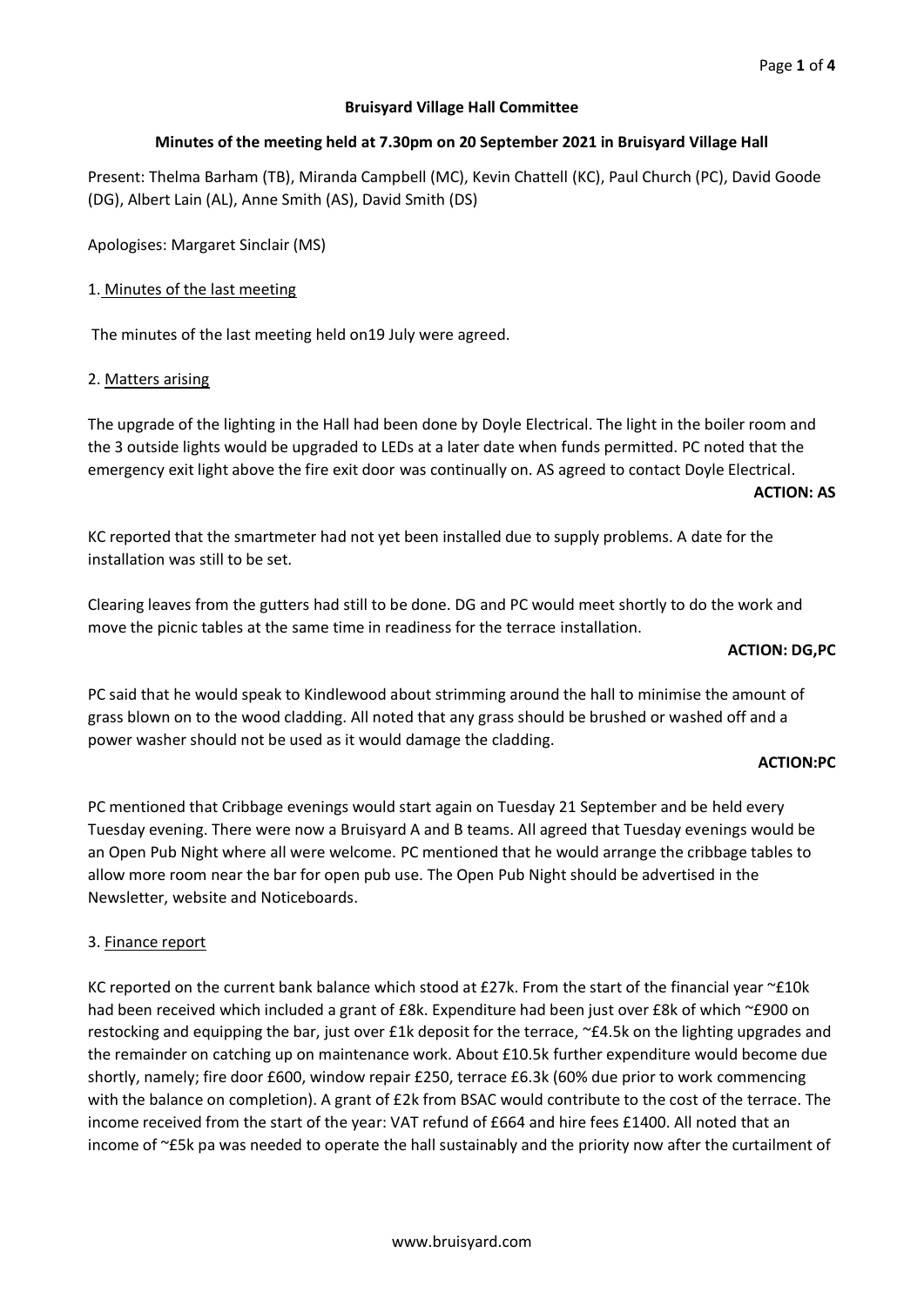# **Bruisyard Village Hall Committee**

# **Minutes of the meeting held at 7.30pm on 20 September 2021 in Bruisyard Village Hall**

Present: Thelma Barham (TB), Miranda Campbell (MC), Kevin Chattell (KC), Paul Church (PC), David Goode (DG), Albert Lain (AL), Anne Smith (AS), David Smith (DS)

Apologises: Margaret Sinclair (MS)

# 1. Minutes of the last meeting

The minutes of the last meeting held on19 July were agreed.

## 2. Matters arising

The upgrade of the lighting in the Hall had been done by Doyle Electrical. The light in the boiler room and the 3 outside lights would be upgraded to LEDs at a later date when funds permitted. PC noted that the emergency exit light above the fire exit door was continually on. AS agreed to contact Doyle Electrical.

#### **ACTION: AS**

KC reported that the smartmeter had not yet been installed due to supply problems. A date for the installation was still to be set.

Clearing leaves from the gutters had still to be done. DG and PC would meet shortly to do the work and move the picnic tables at the same time in readiness for the terrace installation.

#### **ACTION: DG,PC**

PC said that he would speak to Kindlewood about strimming around the hall to minimise the amount of grass blown on to the wood cladding. All noted that any grass should be brushed or washed off and a power washer should not be used as it would damage the cladding.

## **ACTION:PC**

PC mentioned that Cribbage evenings would start again on Tuesday 21 September and be held every Tuesday evening. There were now a Bruisyard A and B teams. All agreed that Tuesday evenings would be an Open Pub Night where all were welcome. PC mentioned that he would arrange the cribbage tables to allow more room near the bar for open pub use. The Open Pub Night should be advertised in the Newsletter, website and Noticeboards.

## 3. Finance report

KC reported on the current bank balance which stood at £27k. From the start of the financial year  $\sim$ £10k had been received which included a grant of £8k. Expenditure had been just over £8k of which ~£900 on restocking and equipping the bar, just over £1k deposit for the terrace, ~£4.5k on the lighting upgrades and the remainder on catching up on maintenance work. About £10.5k further expenditure would become due shortly, namely; fire door £600, window repair £250, terrace £6.3k (60% due prior to work commencing with the balance on completion). A grant of £2k from BSAC would contribute to the cost of the terrace. The income received from the start of the year: VAT refund of £664 and hire fees £1400. All noted that an income of ~£5k pa was needed to operate the hall sustainably and the priority now after the curtailment of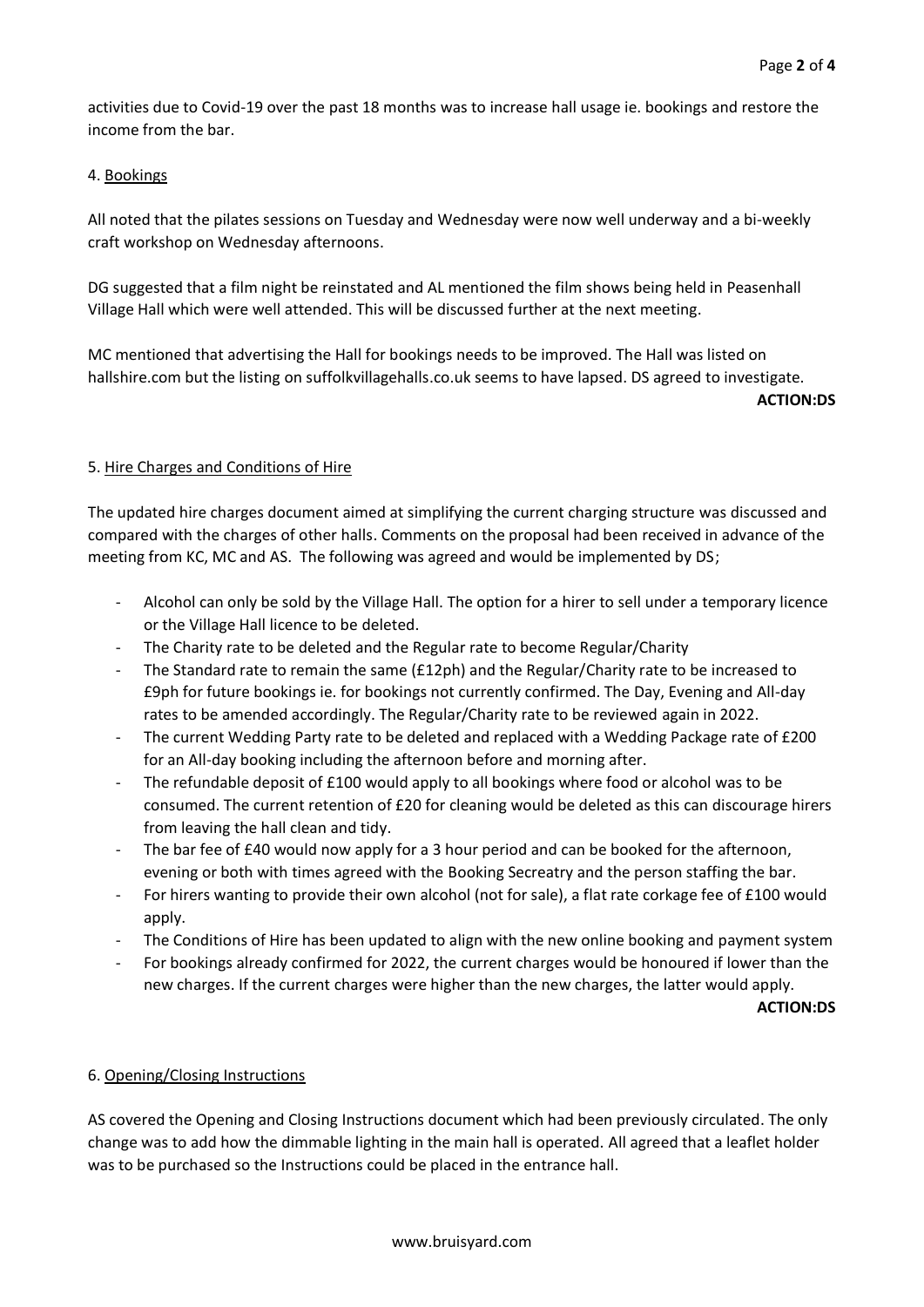activities due to Covid-19 over the past 18 months was to increase hall usage ie. bookings and restore the income from the bar.

# 4. Bookings

All noted that the pilates sessions on Tuesday and Wednesday were now well underway and a bi-weekly craft workshop on Wednesday afternoons.

DG suggested that a film night be reinstated and AL mentioned the film shows being held in Peasenhall Village Hall which were well attended. This will be discussed further at the next meeting.

MC mentioned that advertising the Hall for bookings needs to be improved. The Hall was listed on hallshire.com but the listing on suffolkvillagehalls.co.uk seems to have lapsed. DS agreed to investigate. **ACTION:DS**

# 5. Hire Charges and Conditions of Hire

The updated hire charges document aimed at simplifying the current charging structure was discussed and compared with the charges of other halls. Comments on the proposal had been received in advance of the meeting from KC, MC and AS. The following was agreed and would be implemented by DS;

- Alcohol can only be sold by the Village Hall. The option for a hirer to sell under a temporary licence or the Village Hall licence to be deleted.
- The Charity rate to be deleted and the Regular rate to become Regular/Charity
- The Standard rate to remain the same (£12ph) and the Regular/Charity rate to be increased to £9ph for future bookings ie. for bookings not currently confirmed. The Day, Evening and All-day rates to be amended accordingly. The Regular/Charity rate to be reviewed again in 2022.
- The current Wedding Party rate to be deleted and replaced with a Wedding Package rate of £200 for an All-day booking including the afternoon before and morning after.
- The refundable deposit of £100 would apply to all bookings where food or alcohol was to be consumed. The current retention of £20 for cleaning would be deleted as this can discourage hirers from leaving the hall clean and tidy.
- The bar fee of £40 would now apply for a 3 hour period and can be booked for the afternoon, evening or both with times agreed with the Booking Secreatry and the person staffing the bar.
- For hirers wanting to provide their own alcohol (not for sale), a flat rate corkage fee of £100 would apply.
- The Conditions of Hire has been updated to align with the new online booking and payment system
- For bookings already confirmed for 2022, the current charges would be honoured if lower than the new charges. If the current charges were higher than the new charges, the latter would apply.

**ACTION:DS**

# 6. Opening/Closing Instructions

AS covered the Opening and Closing Instructions document which had been previously circulated. The only change was to add how the dimmable lighting in the main hall is operated. All agreed that a leaflet holder was to be purchased so the Instructions could be placed in the entrance hall.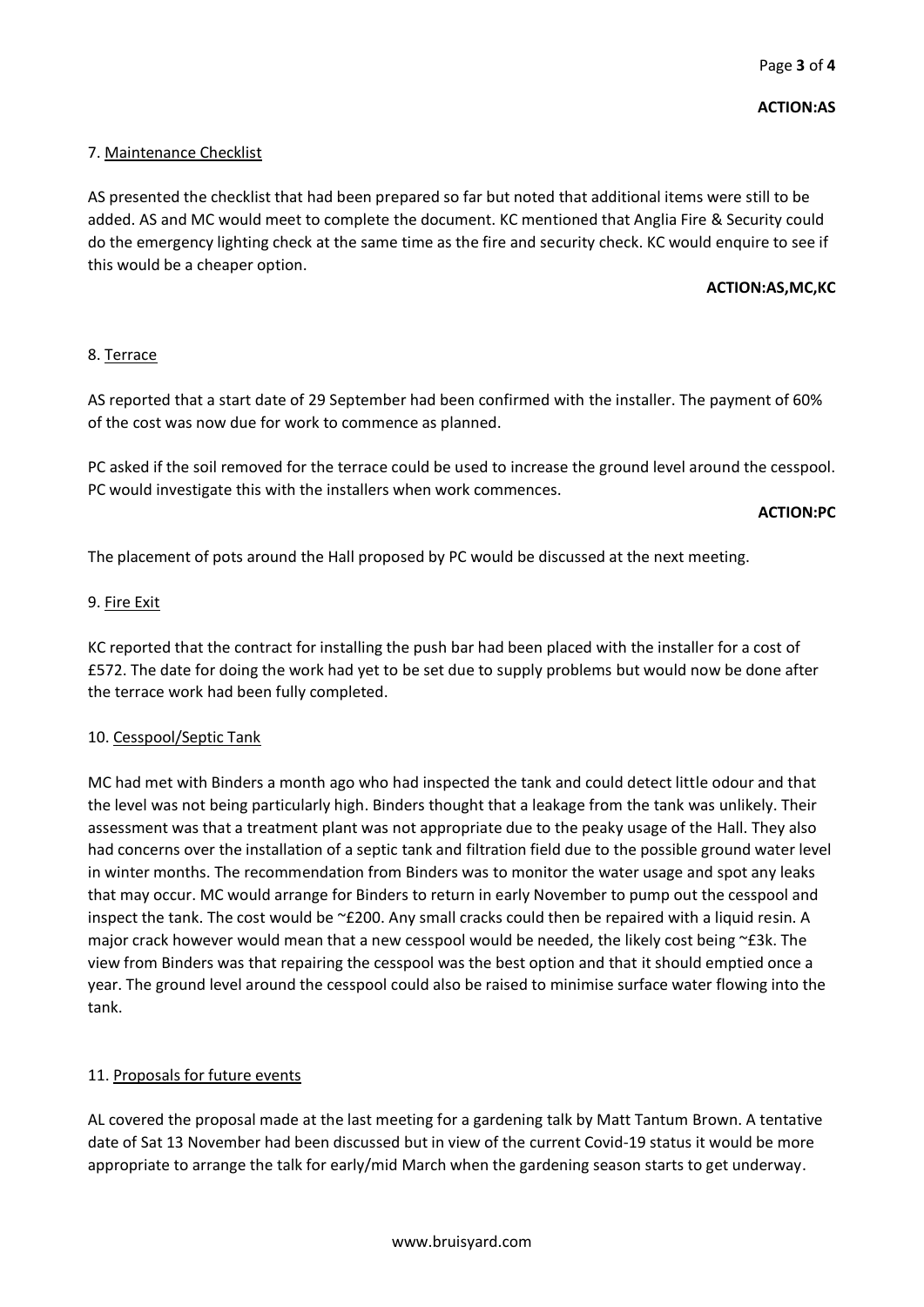# 7. Maintenance Checklist

AS presented the checklist that had been prepared so far but noted that additional items were still to be added. AS and MC would meet to complete the document. KC mentioned that Anglia Fire & Security could do the emergency lighting check at the same time as the fire and security check. KC would enquire to see if this would be a cheaper option.

## **ACTION:AS,MC,KC**

# 8. Terrace

AS reported that a start date of 29 September had been confirmed with the installer. The payment of 60% of the cost was now due for work to commence as planned.

PC asked if the soil removed for the terrace could be used to increase the ground level around the cesspool. PC would investigate this with the installers when work commences.

**ACTION:PC**

The placement of pots around the Hall proposed by PC would be discussed at the next meeting.

## 9. Fire Exit

KC reported that the contract for installing the push bar had been placed with the installer for a cost of £572. The date for doing the work had yet to be set due to supply problems but would now be done after the terrace work had been fully completed.

## 10. Cesspool/Septic Tank

MC had met with Binders a month ago who had inspected the tank and could detect little odour and that the level was not being particularly high. Binders thought that a leakage from the tank was unlikely. Their assessment was that a treatment plant was not appropriate due to the peaky usage of the Hall. They also had concerns over the installation of a septic tank and filtration field due to the possible ground water level in winter months. The recommendation from Binders was to monitor the water usage and spot any leaks that may occur. MC would arrange for Binders to return in early November to pump out the cesspool and inspect the tank. The cost would be ~£200. Any small cracks could then be repaired with a liquid resin. A major crack however would mean that a new cesspool would be needed, the likely cost being ~£3k. The view from Binders was that repairing the cesspool was the best option and that it should emptied once a year. The ground level around the cesspool could also be raised to minimise surface water flowing into the tank.

# 11. Proposals for future events

AL covered the proposal made at the last meeting for a gardening talk by Matt Tantum Brown. A tentative date of Sat 13 November had been discussed but in view of the current Covid-19 status it would be more appropriate to arrange the talk for early/mid March when the gardening season starts to get underway.